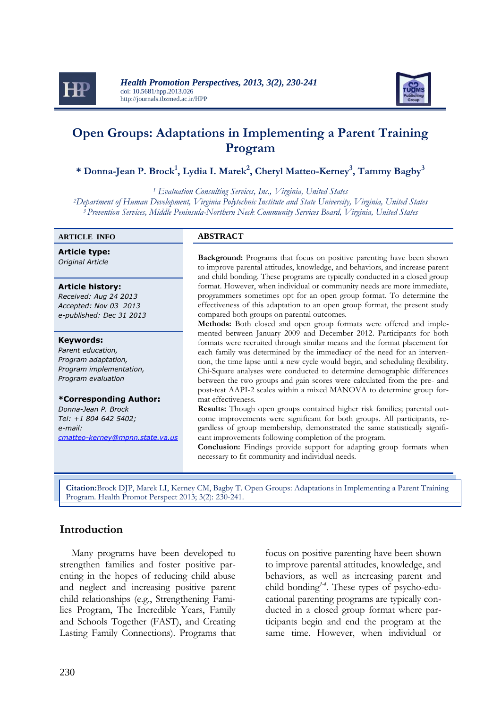



# **Open Groups: Adaptations in Implementing a Parent Training Program**

**\* Donna-Jean P. Brock<sup>1</sup> , Lydia I. Marek<sup>2</sup> , Cheryl Matteo-Kerney<sup>3</sup> , Tammy Bagby<sup>3</sup>**

*<sup>1</sup> Evaluation Consulting Services, Inc., Virginia, United States <sup>2</sup>Department of Human Development, Virginia Polytechnic Institute and State University, Virginia, United States <sup>3</sup>Prevention Services, Middle Peninsula-Northern Neck Community Services Board, Virginia, United States*

#### **ARTICLE INFO ABSTRACT**

**Article type:**

#### **Article history:**

*Received: Aug 24 2013 Accepted: Nov 03 2013 e-published: Dec 31 2013*

#### **Keywords:**

*Parent education, Program adaptation, Program implementation, Program evaluation*

#### **\*Corresponding Author:**

*Donna-Jean P. Brock Tel: +1 804 642 5402; e-mail: [cmatteo-kerney@mpnn.state.va.us](mailto:cmatteo-kerney@mpnn.state.va.us)*

**Background:** Programs that focus on positive parenting have been shown Original Article to improve parental attitudes, knowledge, and behaviors, and increase parent and child bonding. These programs are typically conducted in a closed group format. However, when individual or community needs are more immediate, programmers sometimes opt for an open group format. To determine the effectiveness of this adaptation to an open group format, the present study compared both groups on parental outcomes.

> **Methods:** Both closed and open group formats were offered and implemented between January 2009 and December 2012. Participants for both formats were recruited through similar means and the format placement for each family was determined by the immediacy of the need for an intervention, the time lapse until a new cycle would begin, and scheduling flexibility. Chi-Square analyses were conducted to determine demographic differences between the two groups and gain scores were calculated from the pre- and post-test AAPI-2 scales within a mixed MANOVA to determine group format effectiveness.

> **Results:** Though open groups contained higher risk families; parental outcome improvements were significant for both groups. All participants, regardless of group membership, demonstrated the same statistically significant improvements following completion of the program.

> **Conclusion:** Findings provide support for adapting group formats when necessary to fit community and individual needs.

**Citation:**Brock DJP, Marek LI, Kerney CM, Bagby T. Open Groups: Adaptations in Implementing a Parent Training Program. Health Promot Perspect 2013; 3(2): 230-241.

### **Introduction**

v

Many programs have been developed to strengthen families and foster positive parenting in the hopes of reducing child abuse and neglect and increasing positive parent child relationships (e.g., Strengthening Families Program, The Incredible Years, Family and Schools Together (FAST), and Creating Lasting Family Connections). Programs that

focus on positive parenting have been shown to improve parental attitudes, knowledge, and behaviors, as well as increasing parent and child bonding*1-4* . These types of psycho-educational parenting programs are typically conducted in a closed group format where participants begin and end the program at the same time. However, when individual or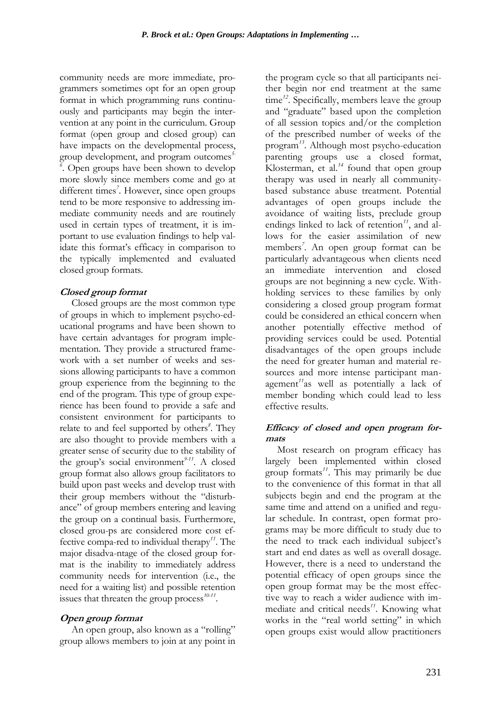community needs are more immediate, programmers sometimes opt for an open group format in which programming runs continuously and participants may begin the intervention at any point in the curriculum. Group format (open group and closed group) can have impacts on the developmental process, group development, and program outcomes *5- 6* . Open groups have been shown to develop more slowly since members come and go at different times<sup>7</sup>. However, since open groups tend to be more responsive to addressing immediate community needs and are routinely used in certain types of treatment, it is important to use evaluation findings to help validate this format's efficacy in comparison to the typically implemented and evaluated closed group formats.

#### **Closed group format**

Closed groups are the most common type of groups in which to implement psycho-educational programs and have been shown to have certain advantages for program implementation. They provide a structured framework with a set number of weeks and sessions allowing participants to have a common group experience from the beginning to the end of the program. This type of group experience has been found to provide a safe and consistent environment for participants to relate to and feel supported by others*<sup>8</sup>* . They are also thought to provide members with a greater sense of security due to the stability of the group's social environment*9-11*. A closed group format also allows group facilitators to build upon past weeks and develop trust with their group members without the "disturbance" of group members entering and leaving the group on a continual basis. Furthermore, closed grou-ps are considered more cost effective compa-red to individual therapy*<sup>11</sup>*. The major disadva-ntage of the closed group format is the inability to immediately address community needs for intervention (i.e., the need for a waiting list) and possible retention issues that threaten the group process<sup>10-11</sup>.

### **Open group format**

An open group, also known as a "rolling" group allows members to join at any point in

the program cycle so that all participants neither begin nor end treatment at the same time<sup>12</sup>. Specifically, members leave the group and "graduate" based upon the completion of all session topics and/or the completion of the prescribed number of weeks of the program*<sup>13</sup>*. Although most psycho-education parenting groups use a closed format, Klosterman, et al.*<sup>14</sup>* found that open group therapy was used in nearly all communitybased substance abuse treatment. Potential advantages of open groups include the avoidance of waiting lists, preclude group endings linked to lack of retention*11*, and allows for the easier assimilation of new members*<sup>7</sup>* . An open group format can be particularly advantageous when clients need an immediate intervention and closed groups are not beginning a new cycle. Withholding services to these families by only considering a closed group program format could be considered an ethical concern when another potentially effective method of providing services could be used. Potential disadvantages of the open groups include the need for greater human and material resources and more intense participant management*<sup>11</sup>*as well as potentially a lack of member bonding which could lead to less effective results.

#### **Efficacy of closed and open program formats**

Most research on program efficacy has largely been implemented within closed group formats*<sup>11</sup>*. This may primarily be due to the convenience of this format in that all subjects begin and end the program at the same time and attend on a unified and regular schedule. In contrast, open format programs may be more difficult to study due to the need to track each individual subject's start and end dates as well as overall dosage. However, there is a need to understand the potential efficacy of open groups since the open group format may be the most effective way to reach a wider audience with immediate and critical needs*<sup>11</sup>*. Knowing what works in the "real world setting" in which open groups exist would allow practitioners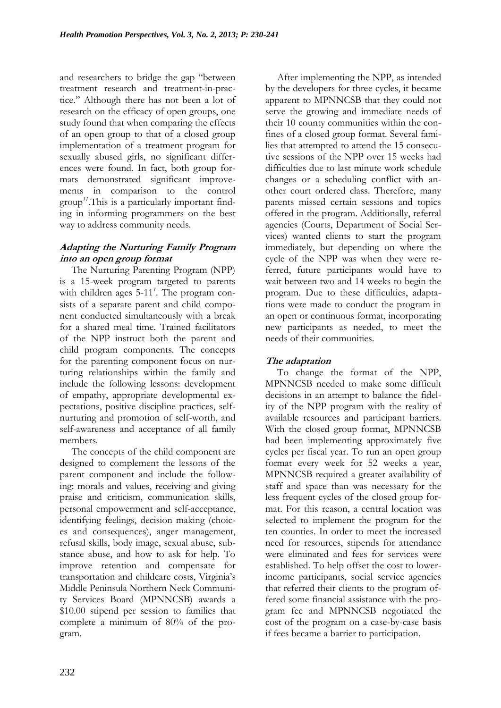and researchers to bridge the gap "between treatment research and treatment-in-practice." Although there has not been a lot of research on the efficacy of open groups, one study found that when comparing the effects of an open group to that of a closed group implementation of a treatment program for sexually abused girls, no significant differences were found. In fact, both group formats demonstrated significant improvements in comparison to the control group*11*.This is a particularly important finding in informing programmers on the best way to address community needs.

## **Adapting the Nurturing Family Program into an open group format**

The Nurturing Parenting Program (NPP) is a 15-week program targeted to parents with children ages 5-11*<sup>1</sup>* . The program consists of a separate parent and child component conducted simultaneously with a break for a shared meal time. Trained facilitators of the NPP instruct both the parent and child program components. The concepts for the parenting component focus on nurturing relationships within the family and include the following lessons: development of empathy, appropriate developmental expectations, positive discipline practices, selfnurturing and promotion of self-worth, and self-awareness and acceptance of all family members.

The concepts of the child component are designed to complement the lessons of the parent component and include the following: morals and values, receiving and giving praise and criticism, communication skills, personal empowerment and self-acceptance, identifying feelings, decision making (choices and consequences), anger management, refusal skills, body image, sexual abuse, substance abuse, and how to ask for help. To improve retention and compensate for transportation and childcare costs, Virginia's Middle Peninsula Northern Neck Community Services Board (MPNNCSB) awards a \$10.00 stipend per session to families that complete a minimum of 80% of the program.

After implementing the NPP, as intended by the developers for three cycles, it became apparent to MPNNCSB that they could not serve the growing and immediate needs of their 10 county communities within the confines of a closed group format. Several families that attempted to attend the 15 consecutive sessions of the NPP over 15 weeks had difficulties due to last minute work schedule changes or a scheduling conflict with another court ordered class. Therefore, many parents missed certain sessions and topics offered in the program. Additionally, referral agencies (Courts, Department of Social Services) wanted clients to start the program immediately, but depending on where the cycle of the NPP was when they were referred, future participants would have to wait between two and 14 weeks to begin the program. Due to these difficulties, adaptations were made to conduct the program in an open or continuous format, incorporating new participants as needed, to meet the needs of their communities.

## **The adaptation**

To change the format of the NPP, MPNNCSB needed to make some difficult decisions in an attempt to balance the fidelity of the NPP program with the reality of available resources and participant barriers. With the closed group format, MPNNCSB had been implementing approximately five cycles per fiscal year. To run an open group format every week for 52 weeks a year, MPNNCSB required a greater availability of staff and space than was necessary for the less frequent cycles of the closed group format. For this reason, a central location was selected to implement the program for the ten counties. In order to meet the increased need for resources, stipends for attendance were eliminated and fees for services were established. To help offset the cost to lowerincome participants, social service agencies that referred their clients to the program offered some financial assistance with the program fee and MPNNCSB negotiated the cost of the program on a case-by-case basis if fees became a barrier to participation.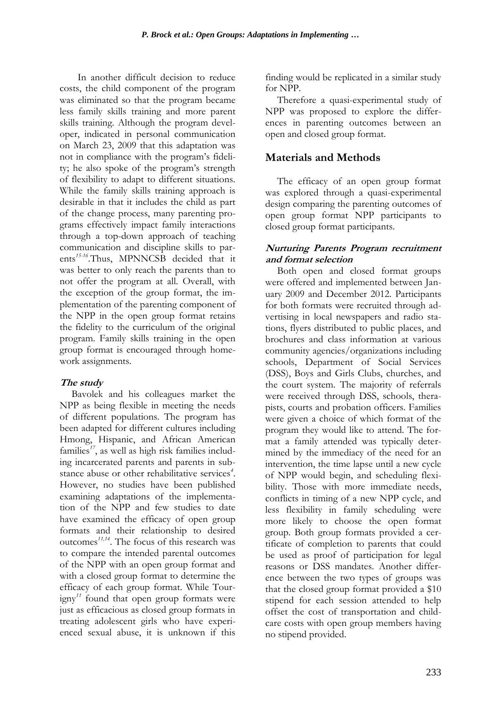In another difficult decision to reduce costs, the child component of the program was eliminated so that the program became less family skills training and more parent skills training. Although the program developer, indicated in personal communication on March 23, 2009 that this adaptation was not in compliance with the program's fidelity; he also spoke of the program's strength of flexibility to adapt to different situations. While the family skills training approach is desirable in that it includes the child as part of the change process, many parenting programs effectively impact family interactions through a top-down approach of teaching communication and discipline skills to parents*15-16*.Thus, MPNNCSB decided that it was better to only reach the parents than to not offer the program at all. Overall, with the exception of the group format, the implementation of the parenting component of the NPP in the open group format retains the fidelity to the curriculum of the original program. Family skills training in the open group format is encouraged through homework assignments.

## **The study**

Bavolek and his colleagues market the NPP as being flexible in meeting the needs of different populations. The program has been adapted for different cultures including Hmong, Hispanic, and African American families*17*, as well as high risk families including incarcerated parents and parents in substance abuse or other rehabilitative services*<sup>4</sup>* . However, no studies have been published examining adaptations of the implementation of the NPP and few studies to date have examined the efficacy of open group formats and their relationship to desired outcomes*11,14*. The focus of this research was to compare the intended parental outcomes of the NPP with an open group format and with a closed group format to determine the efficacy of each group format. While Tourigny*<sup>11</sup>* found that open group formats were just as efficacious as closed group formats in treating adolescent girls who have experienced sexual abuse, it is unknown if this

finding would be replicated in a similar study for NPP.

Therefore a quasi-experimental study of NPP was proposed to explore the differences in parenting outcomes between an open and closed group format.

# **Materials and Methods**

The efficacy of an open group format was explored through a quasi-experimental design comparing the parenting outcomes of open group format NPP participants to closed group format participants.

#### **Nurturing Parents Program recruitment and format selection**

Both open and closed format groups were offered and implemented between January 2009 and December 2012. Participants for both formats were recruited through advertising in local newspapers and radio stations, flyers distributed to public places, and brochures and class information at various community agencies/organizations including schools, Department of Social Services (DSS), Boys and Girls Clubs, churches, and the court system. The majority of referrals were received through DSS, schools, therapists, courts and probation officers. Families were given a choice of which format of the program they would like to attend. The format a family attended was typically determined by the immediacy of the need for an intervention, the time lapse until a new cycle of NPP would begin, and scheduling flexibility. Those with more immediate needs, conflicts in timing of a new NPP cycle, and less flexibility in family scheduling were more likely to choose the open format group. Both group formats provided a certificate of completion to parents that could be used as proof of participation for legal reasons or DSS mandates. Another difference between the two types of groups was that the closed group format provided a \$10 stipend for each session attended to help offset the cost of transportation and childcare costs with open group members having no stipend provided.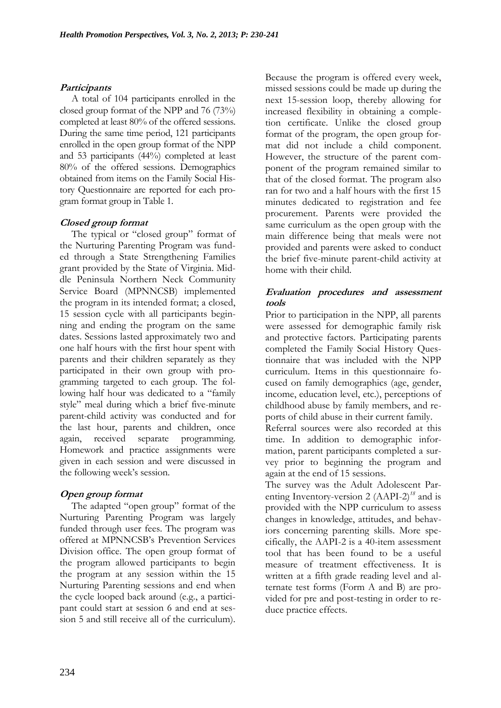#### **Participants**

A total of 104 participants enrolled in the closed group format of the NPP and 76 (73%) completed at least 80% of the offered sessions. During the same time period, 121 participants enrolled in the open group format of the NPP and 53 participants (44%) completed at least 80% of the offered sessions. Demographics obtained from items on the Family Social History Questionnaire are reported for each program format group in Table 1.

#### **Closed group format**

The typical or "closed group" format of the Nurturing Parenting Program was funded through a State Strengthening Families grant provided by the State of Virginia. Middle Peninsula Northern Neck Community Service Board (MPNNCSB) implemented the program in its intended format; a closed, 15 session cycle with all participants beginning and ending the program on the same dates. Sessions lasted approximately two and one half hours with the first hour spent with parents and their children separately as they participated in their own group with programming targeted to each group. The following half hour was dedicated to a "family style" meal during which a brief five-minute parent-child activity was conducted and for the last hour, parents and children, once again, received separate programming. Homework and practice assignments were given in each session and were discussed in the following week's session.

### **Open group format**

The adapted "open group" format of the Nurturing Parenting Program was largely funded through user fees. The program was offered at MPNNCSB's Prevention Services Division office. The open group format of the program allowed participants to begin the program at any session within the 15 Nurturing Parenting sessions and end when the cycle looped back around (e.g., a participant could start at session 6 and end at session 5 and still receive all of the curriculum). Because the program is offered every week, missed sessions could be made up during the next 15-session loop, thereby allowing for increased flexibility in obtaining a completion certificate. Unlike the closed group format of the program, the open group format did not include a child component. However, the structure of the parent component of the program remained similar to that of the closed format. The program also ran for two and a half hours with the first 15 minutes dedicated to registration and fee procurement. Parents were provided the same curriculum as the open group with the main difference being that meals were not provided and parents were asked to conduct the brief five-minute parent-child activity at home with their child.

### **Evaluation procedures and assessment tools**

Prior to participation in the NPP, all parents were assessed for demographic family risk and protective factors. Participating parents completed the Family Social History Questionnaire that was included with the NPP curriculum. Items in this questionnaire focused on family demographics (age, gender, income, education level, etc.), perceptions of childhood abuse by family members, and reports of child abuse in their current family.

Referral sources were also recorded at this time. In addition to demographic information, parent participants completed a survey prior to beginning the program and again at the end of 15 sessions.

The survey was the Adult Adolescent Parenting Inventory-version 2 (AAPI-2)*<sup>18</sup>* and is provided with the NPP curriculum to assess changes in knowledge, attitudes, and behaviors concerning parenting skills. More specifically, the AAPI-2 is a 40-item assessment tool that has been found to be a useful measure of treatment effectiveness. It is written at a fifth grade reading level and alternate test forms (Form A and B) are provided for pre and post-testing in order to reduce practice effects.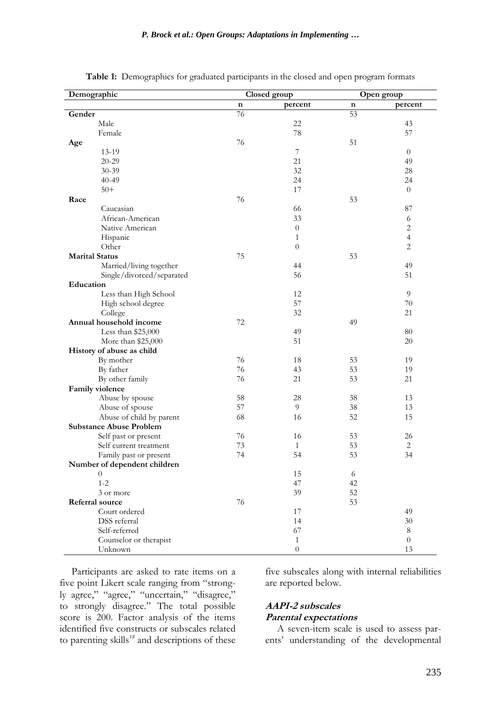| Demographic                    | Closed group |                  | Open group |                |  |
|--------------------------------|--------------|------------------|------------|----------------|--|
|                                | n            | percent          | n          | percent        |  |
| Gender                         | 76           |                  | 53         |                |  |
| Male                           |              | 22               |            | 43             |  |
| Female                         |              | 78               |            | 57             |  |
| Age                            | 76           |                  | 51         |                |  |
| 13-19                          |              | 7                |            | $\theta$       |  |
| $20 - 29$                      |              | 21               |            | 49             |  |
| $30 - 39$                      |              | 32               |            | 28             |  |
| $40 - 49$                      |              | 24               |            | 24             |  |
| $50+$                          |              | 17               |            | $\overline{0}$ |  |
| Race                           | 76           |                  | 53         |                |  |
| Caucasian                      |              | 66               |            | 87             |  |
| African-American               |              | 33               |            | 6              |  |
| Native American                |              | $\boldsymbol{0}$ |            | $\overline{c}$ |  |
| Hispanic                       |              | 1                |            | $\overline{4}$ |  |
| Other                          |              | $\boldsymbol{0}$ |            | $\overline{2}$ |  |
| <b>Marital Status</b>          | 75           |                  | 53         |                |  |
| Married/living together        |              | 44               |            | 49             |  |
| Single/divorced/separated      |              | 56               |            | 51             |  |
| Education                      |              |                  |            |                |  |
| Less than High School          |              | 12               |            | 9              |  |
| High school degree             |              | 57               |            | 70             |  |
| College                        |              | 32               |            | 21             |  |
| Annual household income        | 72           |                  | 49         |                |  |
| Less than $$25,000$            |              | 49               |            | 80             |  |
| More than \$25,000             |              | 51               |            | 20             |  |
| History of abuse as child      |              |                  |            |                |  |
| By mother                      | 76           | 18               | 53         | 19             |  |
| By father                      | 76           | 43               | 53         | 19             |  |
| By other family                | 76           | 21               | 53         | 21             |  |
| Family violence                |              |                  |            |                |  |
| Abuse by spouse                | 58           | 28               | 38         | 13             |  |
| Abuse of spouse                | 57           | 9                | 38         | 13             |  |
| Abuse of child by parent       | 68           | 16               | 52         | 15             |  |
| <b>Substance Abuse Problem</b> |              |                  |            |                |  |
| Self past or present           | 76           | 16               | 53         | 26             |  |
| Self current treatment         | 73           | 1                | 53         | $\overline{c}$ |  |
| Family past or present         | 74           | 54               | 53         | 34             |  |
| Number of dependent children   |              |                  |            |                |  |
| $\theta$                       |              | 15               | 6          |                |  |
| $1 - 2$                        |              | 47               | 42         |                |  |
| 3 or more                      |              | 39               | 52         |                |  |
| <b>Referral source</b>         | 76           |                  | 53         |                |  |
| Court ordered                  |              | 17               |            | 49             |  |
| DSS referral                   |              | 14               |            | $30\,$         |  |
| Self-referred                  |              | 67               |            | $\,8\,$        |  |
| Counselor or therapist         |              | $\mathbf{1}$     |            | $\theta$       |  |
| Unknown                        |              | $\boldsymbol{0}$ |            | 13             |  |

**Table 1:** Demographics for graduated participants in the closed and open program formats

Participants are asked to rate items on a five point Likert scale ranging from "strongly agree," "agree," "uncertain," "disagree," to strongly disagree." The total possible score is 200. Factor analysis of the items identified five constructs or subscales related to parenting skills*<sup>18</sup>* and descriptions of these five subscales along with internal reliabilities are reported below.

#### **AAPI-2 subscales Parental expectations**

A seven-item scale is used to assess parents' understanding of the developmental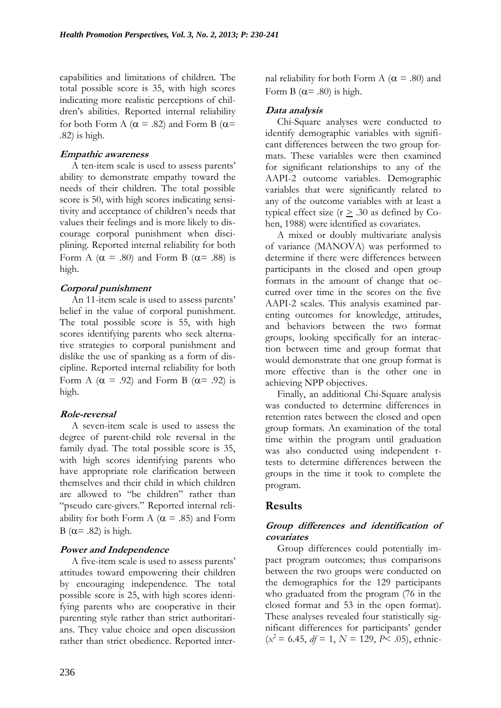capabilities and limitations of children. The total possible score is 35, with high scores indicating more realistic perceptions of children's abilities. Reported internal reliability for both Form A ( $\alpha$  = .82) and Form B ( $\alpha$ = .82) is high.

#### **Empathic awareness**

A ten-item scale is used to assess parents' ability to demonstrate empathy toward the needs of their children. The total possible score is 50, with high scores indicating sensitivity and acceptance of children's needs that values their feelings and is more likely to discourage corporal punishment when disciplining. Reported internal reliability for both Form A ( $\alpha$  = .80) and Form B ( $\alpha$  = .88) is high.

### **Corporal punishment**

An 11-item scale is used to assess parents' belief in the value of corporal punishment. The total possible score is 55, with high scores identifying parents who seek alternative strategies to corporal punishment and dislike the use of spanking as a form of discipline. Reported internal reliability for both Form A ( $\alpha$  = .92) and Form B ( $\alpha$ = .92) is high.

### **Role-reversal**

A seven-item scale is used to assess the degree of parent-child role reversal in the family dyad. The total possible score is 35, with high scores identifying parents who have appropriate role clarification between themselves and their child in which children are allowed to "be children" rather than "pseudo care-givers." Reported internal reliability for both Form A ( $\alpha$  = .85) and Form B ( $\alpha$ = .82) is high.

### **Power and Independence**

A five-item scale is used to assess parents' attitudes toward empowering their children by encouraging independence. The total possible score is 25, with high scores identifying parents who are cooperative in their parenting style rather than strict authoritarians. They value choice and open discussion rather than strict obedience. Reported internal reliability for both Form A ( $\alpha$  = .80) and Form B ( $\alpha$ = .80) is high.

## **Data analysis**

Chi-Square analyses were conducted to identify demographic variables with significant differences between the two group formats. These variables were then examined for significant relationships to any of the AAPI-2 outcome variables. Demographic variables that were significantly related to any of the outcome variables with at least a typical effect size ( $r \geq .30$  as defined by Cohen, 1988) were identified as covariates.

A mixed or doubly multivariate analysis of variance (MANOVA) was performed to determine if there were differences between participants in the closed and open group formats in the amount of change that occurred over time in the scores on the five AAPI-2 scales. This analysis examined parenting outcomes for knowledge, attitudes, and behaviors between the two format groups, looking specifically for an interaction between time and group format that would demonstrate that one group format is more effective than is the other one in achieving NPP objectives.

Finally, an additional Chi-Square analysis was conducted to determine differences in retention rates between the closed and open group formats. An examination of the total time within the program until graduation was also conducted using independent ttests to determine differences between the groups in the time it took to complete the program.

# **Results**

## **Group differences and identification of covariates**

Group differences could potentially impact program outcomes; thus comparisons between the two groups were conducted on the demographics for the 129 participants who graduated from the program (76 in the closed format and 53 in the open format). These analyses revealed four statistically significant differences for participants' gender  $(x^2 = 6.45, df = 1, N = 129, P < .05)$ , ethnic-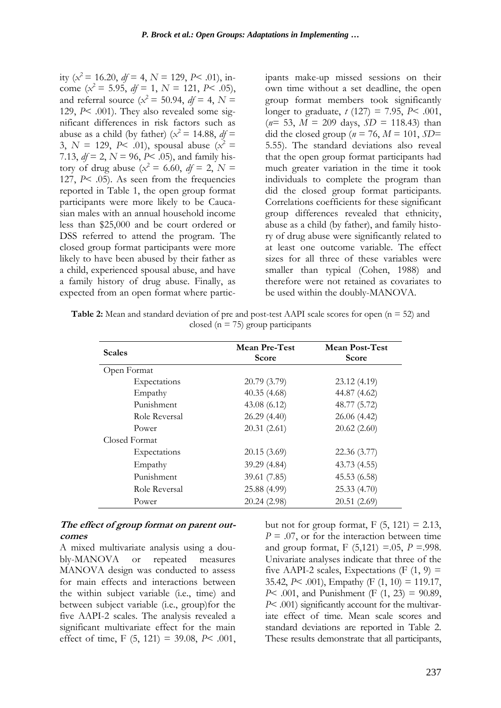ity ( $x^2 = 16.20$ ,  $df = 4$ ,  $N = 129$ ,  $P < .01$ ), income ( $x^2 = 5.95$ ,  $df = 1$ ,  $N = 121$ ,  $P < .05$ ), and referral source ( $x^2 = 50.94$ ,  $df = 4$ ,  $N =$ 129, *P*< .001). They also revealed some significant differences in risk factors such as abuse as a child (by father) ( $x^2 = 14.88$ ,  $df =$ 3,  $N = 129$ ,  $P \le 0.01$ ), spousal abuse  $(x^2 = 1)$ 7.13,  $df = 2$ ,  $N = 96$ ,  $P < .05$ ), and family history of drug abuse ( $x^2 = 6.60$ ,  $df = 2$ ,  $N =$ 127, *P*< .05). As seen from the frequencies reported in Table 1, the open group format participants were more likely to be Caucasian males with an annual household income less than \$25,000 and be court ordered or DSS referred to attend the program. The closed group format participants were more likely to have been abused by their father as a child, experienced spousal abuse, and have a family history of drug abuse. Finally, as expected from an open format where participants make-up missed sessions on their own time without a set deadline, the open group format members took significantly longer to graduate, *t* (127) = 7.95, *P*< .001,  $(n= 53, M = 209 \text{ days}, SD = 118.43)$  than did the closed group  $(n = 76, M = 101, SD=$ 5.55). The standard deviations also reveal that the open group format participants had much greater variation in the time it took individuals to complete the program than did the closed group format participants. Correlations coefficients for these significant group differences revealed that ethnicity, abuse as a child (by father), and family history of drug abuse were significantly related to at least one outcome variable. The effect sizes for all three of these variables were smaller than typical (Cohen, 1988) and therefore were not retained as covariates to be used within the doubly-MANOVA.

**Table 2:** Mean and standard deviation of pre and post-test AAPI scale scores for open (n = 52) and closed ( $n = 75$ ) group participants

| <b>Scales</b> | <b>Mean Pre-Test</b><br><b>Score</b> | <b>Mean Post-Test</b><br><b>Score</b> |  |  |
|---------------|--------------------------------------|---------------------------------------|--|--|
| Open Format   |                                      |                                       |  |  |
| Expectations  | 20.79 (3.79)                         | 23.12(4.19)                           |  |  |
| Empathy       | 40.35(4.68)                          | 44.87 (4.62)                          |  |  |
| Punishment    | 43.08(6.12)                          | 48.77 (5.72)                          |  |  |
| Role Reversal | 26.29(4.40)                          | 26.06 (4.42)                          |  |  |
| Power         | 20.31(2.61)                          | 20.62(2.60)                           |  |  |
| Closed Format |                                      |                                       |  |  |
| Expectations  | 20.15(3.69)                          | 22.36 (3.77)                          |  |  |
| Empathy       | 39.29 (4.84)                         | 43.73 (4.55)                          |  |  |
| Punishment    | 39.61 (7.85)                         | 45.53 (6.58)                          |  |  |
| Role Reversal | 25.88 (4.99)                         | 25.33(4.70)                           |  |  |
| Power         | 20.24(2.98)                          | 20.51(2.69)                           |  |  |

#### **The effect of group format on parent outcomes**

A mixed multivariate analysis using a doubly-MANOVA or repeated measures MANOVA design was conducted to assess for main effects and interactions between the within subject variable (i.e., time) and between subject variable (i.e., group)for the five AAPI-2 scales. The analysis revealed a significant multivariate effect for the main effect of time, F (5, 121) = 39.08, *P*< .001, but not for group format,  $F(5, 121) = 2.13$ ,  $P = .07$ , or for the interaction between time and group format,  $F(5,121) = .05$ ,  $P = .998$ . Univariate analyses indicate that three of the five AAPI-2 scales, Expectations (F  $(1, 9)$  = 35.42, *P*< .001), Empathy (F (1, 10) = 119.17, *P*< .001, and Punishment (F (1, 23) = 90.89, *P*< .001) significantly account for the multivariate effect of time. Mean scale scores and standard deviations are reported in Table 2. These results demonstrate that all participants,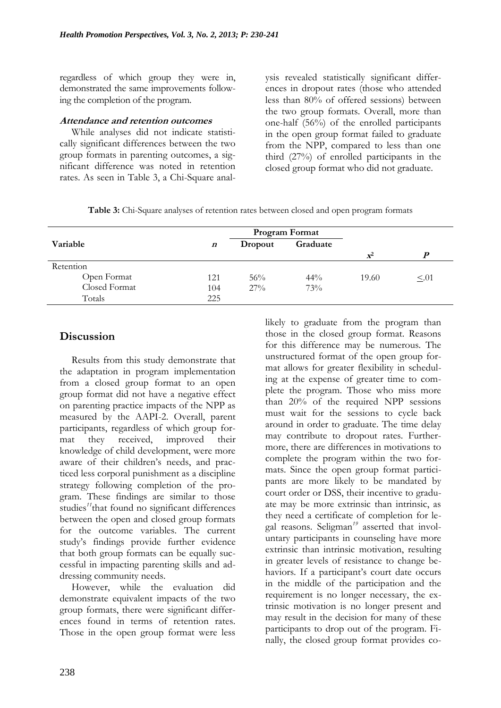regardless of which group they were in, demonstrated the same improvements following the completion of the program.

#### **Attendance and retention outcomes**

While analyses did not indicate statistically significant differences between the two group formats in parenting outcomes, a significant difference was noted in retention rates. As seen in Table 3, a Chi-Square analysis revealed statistically significant differences in dropout rates (those who attended less than 80% of offered sessions) between the two group formats. Overall, more than one-half (56%) of the enrolled participants in the open group format failed to graduate from the NPP, compared to less than one third (27%) of enrolled participants in the closed group format who did not graduate.

|  |  | Table 3: Chi-Square analyses of retention rates between closed and open program formats |  |  |
|--|--|-----------------------------------------------------------------------------------------|--|--|
|  |  |                                                                                         |  |  |

|               | <b>Program Format</b> |         |          |       |            |
|---------------|-----------------------|---------|----------|-------|------------|
| Variable      | $\boldsymbol{n}$      | Dropout | Graduate |       |            |
|               |                       |         |          | $X^2$ | D          |
| Retention     |                       |         |          |       |            |
| Open Format   | 121                   | $56\%$  | $44\%$   | 19.60 | $\leq$ .01 |
| Closed Format | 104                   | $27\%$  | 73%      |       |            |
| Totals        | 225                   |         |          |       |            |

## **Discussion**

Results from this study demonstrate that the adaptation in program implementation from a closed group format to an open group format did not have a negative effect on parenting practice impacts of the NPP as measured by the AAPI-2. Overall, parent participants, regardless of which group format they received, improved their knowledge of child development, were more aware of their children's needs, and practiced less corporal punishment as a discipline strategy following completion of the program. These findings are similar to those studies<sup>11</sup>that found no significant differences between the open and closed group formats for the outcome variables. The current study's findings provide further evidence that both group formats can be equally successful in impacting parenting skills and addressing community needs.

However, while the evaluation did demonstrate equivalent impacts of the two group formats, there were significant differences found in terms of retention rates. Those in the open group format were less

likely to graduate from the program than those in the closed group format. Reasons for this difference may be numerous. The unstructured format of the open group format allows for greater flexibility in scheduling at the expense of greater time to complete the program. Those who miss more than 20% of the required NPP sessions must wait for the sessions to cycle back around in order to graduate. The time delay may contribute to dropout rates. Furthermore, there are differences in motivations to complete the program within the two formats. Since the open group format participants are more likely to be mandated by court order or DSS, their incentive to graduate may be more extrinsic than intrinsic, as they need a certificate of completion for legal reasons. Seligman*<sup>19</sup>* asserted that involuntary participants in counseling have more extrinsic than intrinsic motivation, resulting in greater levels of resistance to change behaviors. If a participant's court date occurs in the middle of the participation and the requirement is no longer necessary, the extrinsic motivation is no longer present and may result in the decision for many of these participants to drop out of the program. Finally, the closed group format provides co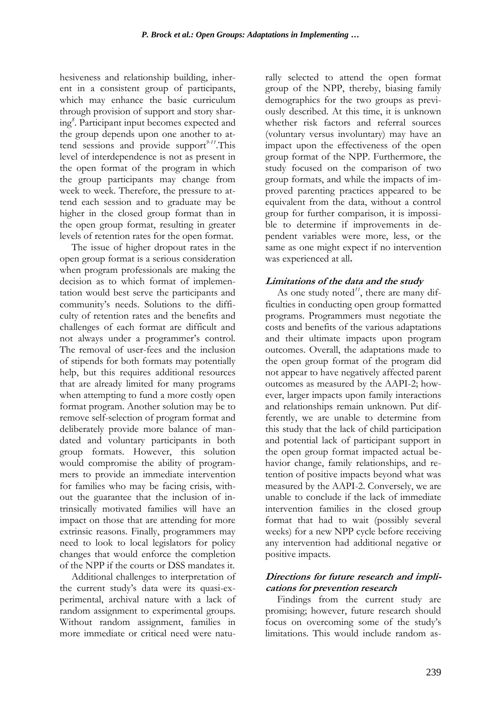hesiveness and relationship building, inherent in a consistent group of participants, which may enhance the basic curriculum through provision of support and story sharing*<sup>8</sup>* . Participant input becomes expected and the group depends upon one another to attend sessions and provide support*9-11*.This level of interdependence is not as present in the open format of the program in which the group participants may change from week to week. Therefore, the pressure to attend each session and to graduate may be higher in the closed group format than in the open group format, resulting in greater levels of retention rates for the open format.

The issue of higher dropout rates in the open group format is a serious consideration when program professionals are making the decision as to which format of implementation would best serve the participants and community's needs. Solutions to the difficulty of retention rates and the benefits and challenges of each format are difficult and not always under a programmer's control. The removal of user-fees and the inclusion of stipends for both formats may potentially help, but this requires additional resources that are already limited for many programs when attempting to fund a more costly open format program. Another solution may be to remove self-selection of program format and deliberately provide more balance of mandated and voluntary participants in both group formats. However, this solution would compromise the ability of programmers to provide an immediate intervention for families who may be facing crisis, without the guarantee that the inclusion of intrinsically motivated families will have an impact on those that are attending for more extrinsic reasons. Finally, programmers may need to look to local legislators for policy changes that would enforce the completion of the NPP if the courts or DSS mandates it.

Additional challenges to interpretation of the current study's data were its quasi-experimental, archival nature with a lack of random assignment to experimental groups. Without random assignment, families in more immediate or critical need were naturally selected to attend the open format group of the NPP, thereby, biasing family demographics for the two groups as previously described. At this time, it is unknown whether risk factors and referral sources (voluntary versus involuntary) may have an impact upon the effectiveness of the open group format of the NPP. Furthermore, the study focused on the comparison of two group formats, and while the impacts of improved parenting practices appeared to be equivalent from the data, without a control group for further comparison, it is impossible to determine if improvements in dependent variables were more, less, or the same as one might expect if no intervention was experienced at all**.** 

#### **Limitations of the data and the study**

As one study noted*11*, there are many difficulties in conducting open group formatted programs. Programmers must negotiate the costs and benefits of the various adaptations and their ultimate impacts upon program outcomes. Overall, the adaptations made to the open group format of the program did not appear to have negatively affected parent outcomes as measured by the AAPI-2; however, larger impacts upon family interactions and relationships remain unknown. Put differently, we are unable to determine from this study that the lack of child participation and potential lack of participant support in the open group format impacted actual behavior change, family relationships, and retention of positive impacts beyond what was measured by the AAPI-2. Conversely, we are unable to conclude if the lack of immediate intervention families in the closed group format that had to wait (possibly several weeks) for a new NPP cycle before receiving any intervention had additional negative or positive impacts.

#### **Directions for future research and implications for prevention research**

Findings from the current study are promising; however, future research should focus on overcoming some of the study's limitations. This would include random as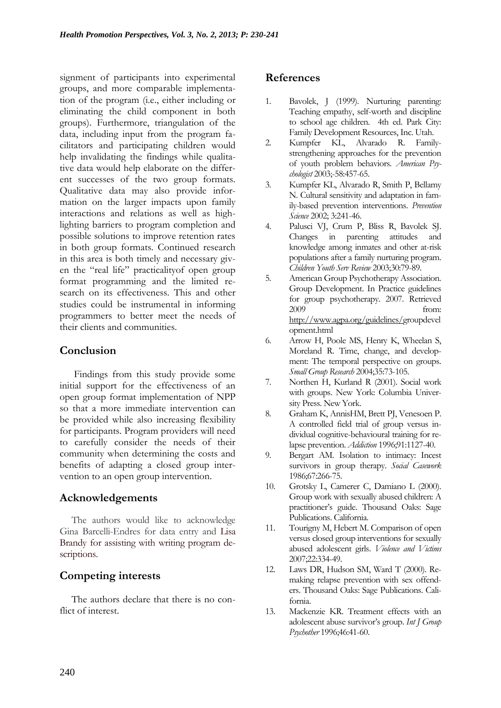signment of participants into experimental groups, and more comparable implementation of the program (i.e., either including or eliminating the child component in both groups). Furthermore, triangulation of the data, including input from the program facilitators and participating children would help invalidating the findings while qualitative data would help elaborate on the different successes of the two group formats. Qualitative data may also provide information on the larger impacts upon family interactions and relations as well as highlighting barriers to program completion and possible solutions to improve retention rates in both group formats. Continued research in this area is both timely and necessary given the "real life" practicalityof open group format programming and the limited research on its effectiveness. This and other studies could be instrumental in informing programmers to better meet the needs of their clients and communities.

## **Conclusion**

Findings from this study provide some initial support for the effectiveness of an open group format implementation of NPP so that a more immediate intervention can be provided while also increasing flexibility for participants. Program providers will need to carefully consider the needs of their community when determining the costs and benefits of adapting a closed group intervention to an open group intervention.

## **Acknowledgements**

The authors would like to acknowledge Gina Barcelli-Endres for data entry and Lisa Brandy for assisting with writing program descriptions.

# **Competing interests**

The authors declare that there is no conflict of interest.

## **References**

- 1. Bavolek, J (1999). Nurturing parenting: Teaching empathy, self-worth and discipline to school age children. 4th ed. Park City: Family Development Resources, Inc. Utah.
- 2. Kumpfer KL, Alvarado R. Familystrengthening approaches for the prevention of youth problem behaviors. *American Psychologist* 2003;-58:457-65.
- 3. Kumpfer KL, Alvarado R, Smith P, Bellamy N. Cultural sensitivity and adaptation in family-based prevention interventions. *Prevention Science* 2002; 3:241-46.
- 4. Palusci VJ, Crum P, Bliss R, Bavolek SJ. Changes in parenting attitudes and knowledge among inmates and other at-risk populations after a family nurturing program. *Children Youth Serv Review* 2003;30:79-89.
- 5. American Group Psychotherapy Association. Group Development. In Practice guidelines for group psychotherapy. 2007. Retrieved 2009 from: [http://www.agpa.org/guidelines/g](http://www.agpa.org/guidelines/)roupdevel opment.html
- 6. Arrow H, Poole MS, Henry K, Wheelan S, Moreland R. Time, change, and development: The temporal perspective on groups. *Small Group Research* 2004;35:73-105.
- 7. Northen H, Kurland R (2001). Social work with groups. New York: Columbia University Press. New York.
- 8. Graham K, AnnisHM, Brett PJ, Venesoen P. A controlled field trial of group versus individual cognitive-behavioural training for relapse prevention. *Addiction* 1996;91:1127-40.
- 9. Bergart AM. Isolation to intimacy: Incest survivors in group therapy. *Social Casework* 1986;67:266-75.
- 10. Grotsky L, Camerer C, Damiano L (2000). Group work with sexually abused children: A practitioner's guide. Thousand Oaks: Sage Publications. California.
- 11. Tourigny M, Hebert M. Comparison of open versus closed group interventions for sexually abused adolescent girls. *Violence and Victims* 2007;22:334-49.
- 12. Laws DR, Hudson SM, Ward T (2000). Remaking relapse prevention with sex offenders. Thousand Oaks: Sage Publications. California.
- 13. Mackenzie KR. Treatment effects with an adolescent abuse survivor's group. *Int J Group Psychother* 1996;46:41-60.